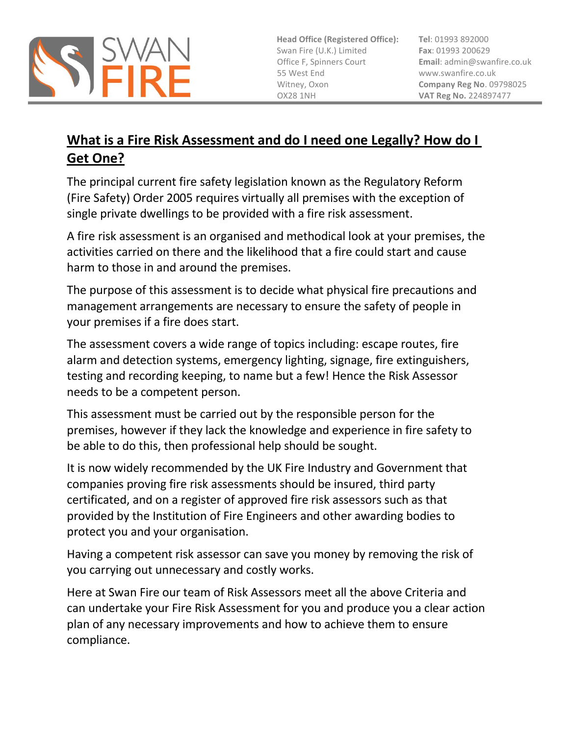

**Head Office (Registered Office):** Swan Fire (U.K.) Limited Office F, Spinners Court 55 West End Witney, Oxon OX28 1NH

**Tel**: 01993 892000 **Fax**: 01993 200629 **Email**[: admin@swanfire.co.uk](mailto:admin@swanfire.co.uk) www.swanfire.co.uk **Company Reg No**. 09798025 **VAT Reg No.** 224897477

## **What is a Fire Risk Assessment and do I need one Legally? How do I Get One?**

The principal current fire safety legislation known as the Regulatory Reform (Fire Safety) Order 2005 requires virtually all premises with the exception of single private dwellings to be provided with a fire risk assessment.

A fire risk assessment is an organised and methodical look at your premises, the activities carried on there and the likelihood that a fire could start and cause harm to those in and around the premises.

The purpose of this assessment is to decide what physical fire precautions and management arrangements are necessary to ensure the safety of people in your premises if a fire does start.

The assessment covers a wide range of topics including: escape routes, fire alarm and detection systems, emergency lighting, signage, fire extinguishers, testing and recording keeping, to name but a few! Hence the Risk Assessor needs to be a competent person.

This assessment must be carried out by the responsible person for the premises, however if they lack the knowledge and experience in fire safety to be able to do this, then professional help should be sought.

It is now widely recommended by the UK Fire Industry and Government that companies proving fire risk assessments should be insured, third party certificated, and on a register of approved fire risk assessors such as that provided by the Institution of Fire Engineers and other awarding bodies to protect you and your organisation.

Having a competent risk assessor can save you money by removing the risk of you carrying out unnecessary and costly works.

Here at Swan Fire our team of Risk Assessors meet all the above Criteria and can undertake your Fire Risk Assessment for you and produce you a clear action plan of any necessary improvements and how to achieve them to ensure compliance.